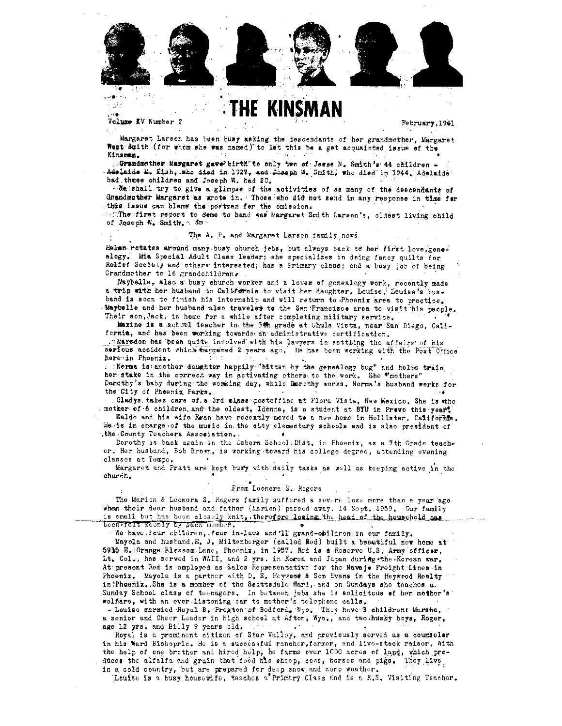

# **HE KINSMAN**

Volume XV Number 2

o ng

February, 1961

Margaret Larson has been busy asking the descendants of her grandmother, Margaret West Smith (for whom she was named) to let this be a get acquainted issue of the Kinsman.

toGrandmother Margaret gave birth to only two of Jesse N. Smith's 44 children = Adelaide M. Eish, who died in 1927, and Joseph W. Smith, who died in 1944. Adelaide had thuse children and Joseph W. had 20.

. We shall try to give a glimpse of the activities of as many of the descendants of Grandmother Margaret as wrote in. Those who did not send in any response in time for this issue can blame the postman for the omission.

. The first report to come to hand was Margaret Smith Larson's, oldest living child of Joseph W. Smith. Sam

#### The A. P. and Margaret Larson family news

Helen rotates around many busy church jobs, but always back to her first love, genealogy. Mia Special Adult Class leader; she specializes in deing fancy quilts for Relief Society and others interested; has a Primary class; and a busy job of being Grandmother to 16 grandchildren.

Maybelle, also a busy church worker and a lover of genealogy work, recently made a trip with her husband to California to visit her daughter, Louise. Louise's hus. band is soon to finish his internship and will return to Phoenix area to practice. Maybelle and her husband also traveled to the San Francisco area to visit his people. Their son, Jack, is home for a while after completing military service.

Maxine is a school teacher in the 5th grade at Chula Vista, near San Diego, California, and has been working towards an administrative certification.

. Marsden has been quite involved with his lawyers in settling the affairs of his serious accident which happened 2 years ago. He has been working with the Post Office here in Phoenix.

. Norma is another daughter happily "bitten by the genealogy bug" and helps train her stake in the correct way in activating others to the work. She "mothers" Derothy's baby during the working day, while Derothy works. Norma's husband works for the City of Phoenix Parks.

Gladys, takes care of, a 3rd class postoffice at Flora Vista, New Mexico. She is the mother of 6 children and the oldest, Idenna, is a student at BYU in Prevo this year.

Waldo and his wife Eran have recently moved to a new home in Hollister, California. He is in charge of the music in the city elementary schools and is also president of the County Teachers Association.

Dorothy is back again in the Osborn School. Dist. in Phoenix, as a 7th Grade teacher. Her husband, Bob Brown, is working toward his college degree, attending evening classes at Tempe.

Margaret and Pratt are kept busy with daily tasks as well as keeping active in the church.

#### From Leonora S. Rogers

The Marion & Leonora S. Rogers family suffored a severe loss more than a year ago when their dear husband and father (karion) passed away, 14 Sept. 1959. Our family is small but has been closely knit, therefore loaing the head of the household has been afolt keenly by pach member.

We have four children, four in-laws and '11 grand-obildren in our family.

Mayola and husband.E. J. Miltenberger (called Rod) built a beautiful new home at 5915 E. Orange Blassom Lane, Phoenix, in 1957. Red is a Reserve U.S. Army officer, Lt. Col., has served in WWII, and 2 yrs. in Korea and Japan during the Korean war. At present Red is employed as Sales Representative for the Navaje Freight Lines in Phoenix. Mayola is a partner with D. E. Heywood & Son Evans in the Heywood Realty in?Pheenix. She is a member of the Scottsdale Ward, and on Sundays she teaches a. Sunday School class of teenagers. In between jobs she is solicitous of her mother's welfare, with an ever listening ear to mother's telephone calls.

- Louise marnied Royal B. Preston of Bedford, Wyo. They have 3 children: Marsha, a senior and Cheer Leader in high school at Afton, Wyo., and two husky boys, Roger, age 12 yrs, and Billy 9 years old.  $\sim$ 

Royal is a prominent eitizen of Star Valley, and previously served as a counseler in his Ward Bishopric. He is a successful rancher, farmer, and live-stock raiser, With the help of one brother and hired help, he farms ever 1000 acres of land, which produces the alfalfa and grain that food his shoop, cows, horses and pigs. They live in a cold country, but are prepared for deep snow and zero weather.

Louise is a busy housewife, teaches a Primary Class and is a R.S. Visiting Teacher.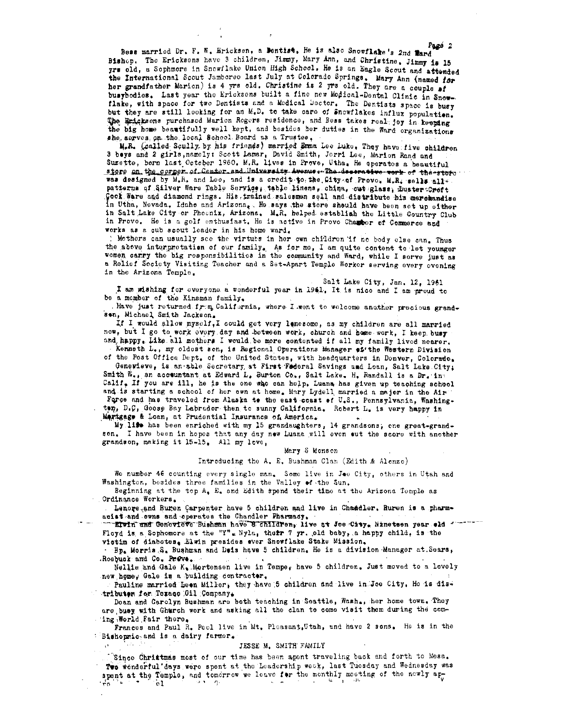Pagé 2 Bess married Dr. F. W. Hricksen, a Dentist. He is also Snowflake's 2nd Mard Bishop. The Ericksons have 3 children, Jimmy, Mary Ann, and Christine. Jimmy is 15 grs old, a Sophmore in Snowflake Union High School. He is an Eagle Scout and attended the International Scout Jamboreo last July at Colorado Springs. Mary Ann (named for her grandfather Marion) is 4 yrs old. Christine is 2 yrs old. They are a couple of busybodies. Last year the Ericksens built a fine new Medical-Dental Clinic in Snowflake, with space for two Dentists and a Medical Doctor. The Dentists space is busy but they are still looking for an M.D. to take care of Snowflakes influx population. The Ericksons purchased Marion Regers residence, and Bess takes real joy in keeping the big home beautifully well kept, and besides her duties in the Ward organizations she, serves, on the local School Board as a Trustee,

M.R. (called Scully by his friends) married Emma Lee Luke. They have five children 3 beys and 2 girls, namely: Scott Lamar, David Smith, Jerri Lee, Marion Rand and Suzette, born last October 1960. M.R. lives in Prove, Utha. He aperates a beautiful store on the corper of Center and University Avenue + The deserative work of the store was designed by M.R. and Lee, and is a credit to the City of Provo. M.R. sells allpatterns of Silver Ware Table Service; table linens, china, cut glass, fluster Creft Cook Ware and diamond rings. His trained salesmen sell and distribute his merchandise in Utha, Nevada, Idaho and Arizona, He says the store should have been set up either in Salt Lake City or Phoenix, Arizona. M.R. helped establish the Little Country Club in Provo. He is a golf enthusiast. He is active in Provo Chapter of Commerce and works as a cub scout leader in his home ward.

! Mothers can usually see the virtues in her own children if no body else can. Thus the above interpretation of our family. As for me, I am quite content to let younger women carry the big responsibilities in the community and Ward, while I serve just as a Relief Society Visiting Teacher and a Set-Apart Temple Worker serving every evening in the Arizona Temple.

Salt Lake City, Jan. 12, 1961

I am wishing for everyone a wonderful year in 1941. It is nice and I am proud to be a momber of the Kinsman family.

. Have just returned from California, where Lowent to welcome another precious grandsen, Michael Smith Jackson.

If I would allow myself, I could get very lanesome, as my children are all married now, but I go to work every day and between work, church and home work, I keep busy and happy. Like all mothers I would be more contented if all my family lived nearer.

Kenneth L., my oldest son, is Regional Operations Manager et the Western Division of the Post Office Dept. of the United States, with headquarters in Donver, Colorado.

Genevieve, is an able Secretary at First Federal Savings and Lean, Salt Lake City; Smith W., an accountant at Edward L. Burton Co., Salt Lake. H. Randall is a Dr. in Calif. If you are ill, he is the one who can help. Luana has given up teaching school and is starting a school of her own at home. Mary Lydell married a major in the Air Force and has traveled from Alaska to the east coast of U.S., Pennsylvania, Washington, D.C, Goose Bay Labrador then to sunny California. Robert L. is very happy in Martgage & Loan, at Prudential Insurance of America.

My life has been enriched with my 15 grandaughters, 14 grandsons, one great-grandson. I have been in hopes that any day new Luana will even out the score with another grandson, making it 15-15. All my love,

#### Mary S Monson

#### Introducing the A. E. Bushman Clan (Edith & Alenzo)

We number 46 counting every single man. Some live in Jee City, others in Utah and Washington, besides three families in the Valley of the Sun.

Beginning at the top A. E. and Edith spend their time at the Arizona Temple as Ordinance Workers.

 $\frac{1}{2}$ 

Lenore and Buren Carpenter have 5 children and live in Chaudler. Buren is a pharmacist and owns and operates the Chandler Pharmady.

EIWIN and Genevieve Bushman have 8 children, live at Joe City, Ninetsen year old " Floyd is a Sophomore at the "Y". Nyla, their 7 yr. old baby, a happy child, is the victim of diabetes, Elwin presides ever Snowflake Stake Mission.

Bp. Morris S. Bushman and Deis have 5 children. He is a division Manager at Sears, Rosbuck and Co. Preve.

Nellie and Gale K. Mortensen live in Tempe, have 5 children. Just moved to a lovely new home. Gale is a building contractor.

Pauline married Leon Miller, they have 5 children and live in Joe City. He is distributer for Texaco 011 Company.

Dean and Carolyn Bushman are both teaching in Seattle, Washe, her home town. They are busy with Ghurch work and asking all the clan to come visit them during the coming World Fair there.

Frances and Paul R. Peel live in Mt. Pleasant, Utah, and have 2 sons. He is in the : Bishopmic and is a dairy farmer.

#### JESSE M. SMITH FAMILY

TSince Chrittmas most of our time has been apent traveling back and forth to Mesa. Too wonderful days were spent at the Leadership week, last Tuesday and Wednesday was spent at the Temple, and tomorrow we leave for the monthly moeting of the newly apdo. ੋ⊾ਾ ਵਾ °ô1.  $\sim$  1  $q$ .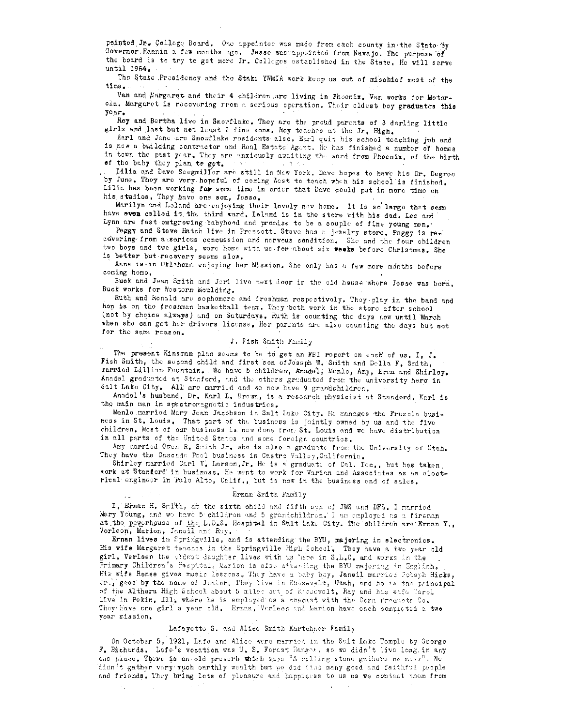pointed Jr. College Board. One appointed was made from each county in the State by Governor Fannin a few months ago. Jesse was appointed from Navajo. The purpose of the board is to try to get more Jr. Colleges established in the State. He will serve until 1964.

The Stake Presidency and the Stake YWMIA work keep us out of mischief mest of the time.

Van and Margaret and their 4 children are living in Phoenix. Van works for Motorola. Margaret is recovering rrom a serious operation. Their oldest boy graduates this vear.

Roy and Bortha live in Snowflake. They are the proud parents of 3 darling little girls and last but not least 2 fine sons. Roy teaches at the Jr. High.

Earl and Jane are Snowflake residents also, Earl quit his school teaching job and is now a building contractor and Real Estate Agent. He has finished a number of homes in town the past year. They are anxiously avaiting the word from Phoenix, of the birth

of the baby they plan to get. Lilia and Dave Soegmillor are still in New York, Dave hopes to have his Dr. Degroe

by June. They are very hopeful of coming West to teach when his school is finished. Lilia has been working for some time in order that Dave could put in more time on his studies. They have one son, Jesse.

Marilyn and Loland are enjoying their lovely new home. It is so large that some have even called it the third ward. Leland is in the store with his dad. Lee and Lynn are fast outgrowing babyhood and promise to be a couple of fine young men.

Peggy and Steve Hatch live in Prescott. Stave has a jewelry stere. Peggy is recovering from a serious concussion and nervous condition. She and the four children two boys and two girls, were home with us for about six weeks before Christmas. She is better but recovery seems slow.

Anne is in Oklahoma enjoying her Mission. She only has a few more months before coming home.

Buck and Jean Smith and Jeri live next door in the old house where Jesse was born, Buck works for Western Moulding.

Ruth and Ronald are sephemore and freshman respectively. They play in the band and kon is on the freshman basketball team, They both work in the store after school (not by choice always) and on Saturdays. Ruth is counting the days now until March when sho can get her drivers license, Her parants are also counting the days but not for the same reason.

### J. Fish Smith Family

The present Kinsman plan seems to be to get an FBI report on each of us. I, J. Fish Smith, the second child and first son of Joseph W. Smith and Della F. Smith, married Lillian Fountain. We have 5 children, Anadel, Menlo, Amy, Erma and Shirley. Anadel graduated at Stanford, and the others graduated from the university here in Salt Lake City. All are married and we now have 9 grandchildren.

Anadel's husband, Dr. Karl L. Brown, is a research physicist at Standord. Karl is the main man in spectromagnotic industries.

Menlo married Mary Jean Jacobson in Salt Lake City. He manages the Fruzola business in St. Louis. That part of the business is jointly owned by us and the five children. Most of our business is now done from St. Louis and we have distribution in all parts of the United States and some foreign countries.

Amy married Owen R. Smith Jr. who is also a graduate from the University of Utah. They have the Cascade Pool business in Castro Valley, California.

Shirley married Carl V. Larson, Jr. He is a graduate of Cal. Tec., but has taken work at Standord in business. He went to work for Varian and Associates as an electrical engineer in Palo Alto, Calif., but is now in the business end of sales.

#### Ernan Smith Family

I, Ernan H. Smith, am the sixth child and fifth son of JWS and DFS. I married Mary Young, and wo have 5 children and 5 grandchildren. I am employed as a fireman at the powerhouse of the L.D.S. Hospital in Salt Lake City. The childron are Ernan Y., Vorleon, Marion, Janoil and Ray.

Ernan lives in Springville, and is attending the BYU, majoring in electronics. His wife Margaret teaches in the Springville High School. They have a two year old girl. Verleen the clusst daughter lives with us here in S.L.C. and works in the Primary Children's Haspital, Marion is also attending the BYU majoring in English. His wife Renee gives music lessons. They have a paby boy, Janeil married Jobeph Hicks, Jr., gees by the name of Junior. They live in Rossevelt, Utah, and he is the principal of the Althera High School about 5 miles out of Recsevelt. Ray and his wife Carol live in Pekin, Ill, where he is employed as a chemist with the Corn Products Co. They have one girl a year old. Ernan, Varleen and Marion have each completed a two year mission.

## Lafayette S. and Alice Smith Kartchner Family

On October 5, 1921, Lafo and Alice were married in the Salt Lake Tomple by George F. Bichards. Lafe's vocation was U. S. Forest Ranger. so we didn't live long. in any one place. There is an old preverb which says "A polling stone gathers ne moss". We dian't gather very much carthly wealth but we did find many good and faithful poople and friends. They bring lots of pleasure and happiness to us as we contact them from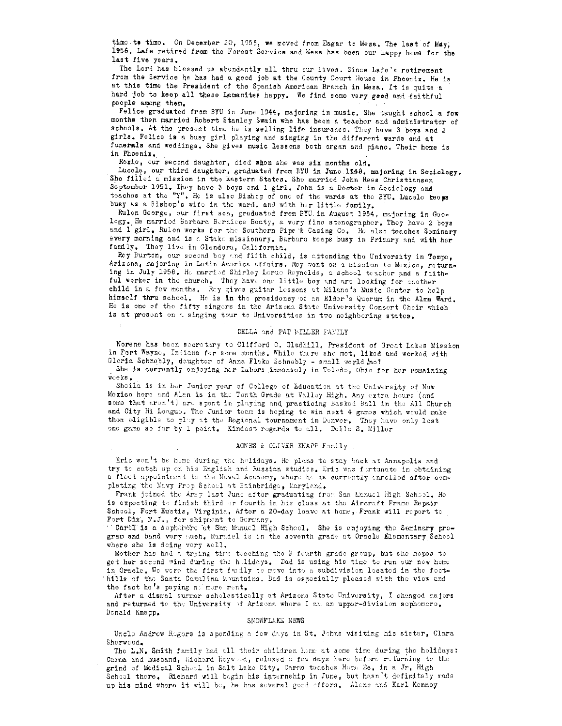timo to timo. On December 20, 1955, we moved from Eagar to Mesa. The last of May, 1956, Lafe retired from the Forest Service and Mesa has been our happy home for the last five years.

The Lord has blessed us abundantly all thru our lives. Since Lafe's retirement from the Service he has had a good job at the County Court House in Phoenix. He is at this time the President of the Spanish American Branch in Mesa. It is quite a hard job to keep all these Lamanites happy. We find some very geed and faithful people among them.

Felice graduated from BYU in June 1944, majoring in music. She taught school a few months then married Robert Stanley Swain who has been a teacher and administrator of schools. At the present time he is selling life insurance. They have 3 boys and 2 girls. Felice is a busy girl playing and singing in the different wards and at funerals and weddings. She gives music lessons both organ and piano. Their home is in Phoenix.

Roxie, our second daughter, died when she was six menths old.

Lucole, our third daughter, graduated from EYU in June 1948, majoring in Sociology. She filled a mission in the Eastern States. She married John Rees Christiansen September 1951. They have 3 boys and 1 girl. John is a Dector in Seciology and teaches at the "Y". He is also Bishop of one of the wards at the BYU. Lucele keeps busy as a Bishop's wife in the ward, and with her little family.

Rulen George, our first sen, graduated from BYU in August 1954, majoring in Goology. He married Barbara Bernicce Beaty, a very fine stenographer, They have 2 boys and 1 girl. Rulon works for the Southern Pipe & Casing Co. He also teaches Seminary every morning and is a Stake missionary. Barbara keeps busy in Primary and with her family. They live in Glendora, California.

Rey Burton, our second bey and fifth child, is attending the University in Tempe, Arizona, majoring in Latin Amorica affairs. Roy went on a mission to Mexico, returning in July 1958. He married Shirley Lerue Reynolds, a school teacher and a faithful worker in the church. They have one little boy and are looking for another child in a few menths. Rey gives guitar lessons at Milano's Music Center to help himself thru school. He is in the presidency of an Elder's Querum in the Alma Ward. He is one of the fifty singers in the Arizona State University Concert Choir which is at present on a singing tour to Universities in two neighboring states.

#### DELLA and PAT MILLER FAMILY

Norene has been secretary to Clifford 0. Gladhill, President of Great Lakes Mission in Fort Wayne, Indiana for some months. While there she met, liked and worked with Gloria Schnobly, daughter of Anna Flake Schnobly - small world ho?

She is currently enjoying her labors immensely in Toledo, Ohio for her romaining .<br>weeks

Sheila is in her Junior year of College of Education at the University of New Mexico here and Alan is in the Tenth Grade at Valley High. Any extra hours (and some that aron't) are spent in playing and practicing Basked Ball in the All Church and City Hi Longuo. The Junior team is hoping to win next 4 games which would make them eligible to play at the Regional tournament in Denver. They have only lest one game so far by 1 point. Kindest regards to all. Dolla S. Miller

#### AGNES & OLIVER KNAPP Family

Eric wen't be home during the holidays. He plans to stay back at Annapolis and try to catch up on his English and Russian studies. Eric was fortunate in obtaining a floot appointment to the Naval Academy, where he is currently enrolled after completing the Navy Prop School at Bainbridge, Maryland.

Frank joined the Army last June after graduating from San Manuel High School. He is expecting to finish third or fourth in his class at the Aircraft Frame Repair School, Fort Eustis, Virginia. After a 20-day leave at home, Frank will report to Fort Dix, N.J., for shippent to Germany.

"Carol" is a sopherore at San Manuel High School. She is enjoying the Seminary program and band very such. Maradel is in the seventh grade at Oracle Elementary School where she is deing very well.

Mother has had a trying time teaching the B fourth grade group, but she hopes to get her socond wind during the holidays. Dad is using his time to run our now home in Oracle. We were the first family to move into a subdivision located in the foothills of the Santa Catalina Mountains. Dad is especially pleased with the view and the fact he's paying nalmore rent.

After a dismal surmer scholastically at Arizona State University, I changed majors and returned to the University of Arizona where I am an upper-division sephemore. Donald Knapp.

#### SNOWFLAKE NEWS

Unclo Andrew Regers is spending a fow days in St. Johns visiting his sister, Clara Sherwood,

The L.N. Smith family had all their children home at some time during the holidays: Carma and husband, Richard Hoywood, relaxed a few days here before returning to the grind of Medical School in Salt Lake City. Carma teaches Home Ec. in a Jr. High School there. Richard will begin his internship in June, but hasn't definitely made up his mind where it will be, he has several good offers. Alene and Karl Kenney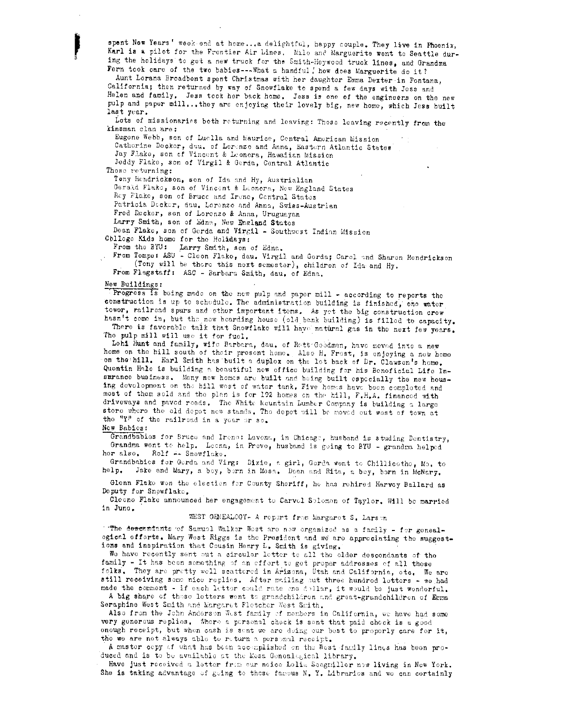spent New Years' week end at home... a delightful, happy couple. They live in Phoenix, Karl is a pilot for the Frontier Air Lines. Milo and Marguerite went to Seattle during the holidays to get a new truck for the Smith-Heywood truck lines, and Grandma Fern took care of the two babies --- What a handful! how does Marguerite do it?

Aunt Lorana Broadbent spent Christmas with her daughter Emma Dexter in Fontana, California; then returned by way of Snowflake to spend a few days with Jess and Helen and family, Jess took her back home. Jess is one of the engineers on the new pulp and paper mill...they are enjoying their lovely big, new home, which Jess built last year.

Lots of missionaries both returning and leaving: Those leaving recently from the kinsman clan are:

Eugone Webb, son of Luclla and Maurice, Central American Mission Cathorine Docker, dau, of Lorenzo and Anna, Eastern Atlantic States Jay Flake, son of Vincent & Leonora, Hawaiian Mission Jeddy Flake, son of Virgil & Gerda, Central Atlantic Those returning:

Tony Hendrickson, son of Ida and Hy, Austrialian Gerald Flake, son of Vincent & Leonora, New England States

Ray Flake, son of Bruce and Irene, Central States

Patricia Decker, dau, Lorenzo and Anna, Swiss-Austrian

Fred Decker, son of Lorenzo & Anna, Uruguayan

Larry Smith, son of Edna, New England States

Dean Flake, son of Gerda and Virgil - Southwest Indian Mission

Colloge Kids home for the Holidays:

From the BYU: Larry Smith, son of Edna.<br>From Tempe: ASU - Cloon Flako, dau. Virgil and Gerda; Carol and Sharon Hendrickson (Tony will be there this next semester), children of Ida and Hy.

From Flagstaff: ASC - Barbara Smith, dau. of Edna.

#### New Buildings:

Progress is being made on the new pulp and paper mill - according to reports the construction is up to schedule. The administration building is finished, one water tower, railread spurs and other important items. As yet the big construction crew hasn't come in, but the now bearding house (old bank building) is filled to capacity.

There is favorable talk that Snowflake will have natural gas in the next few years. The pulp mill will use it for fuel.

Lehi Hunt and family, wife Barbara, dau. of Rett Goodman, have moved into a new home on the hill south of their present home. Also H. Frest, is enjoying a new home on the hill. Earl Smith has built a duplex on the lot back of Dr. Clawson's home. Quentin Hale is building a beautiful new office building for his Beneficial Life Insurance business. Many new homes are built and being built especially the new housing development on the hill west of water tank. Five homes have been completed and most of them sold and the plan is for 192 homes on the hill, F.H.A. financed with driveways and paved reads. The White Mountain Lumber Company is building a large store where the old depot new stands. The depot will be moved out west of town at the "Y" of the railroad in a year or so.

## New Babies:

Grandbabies for Bruce and Irene: Lavena, in Chicage, husband is studing Dentistry, Grandma went to help. Leona, in Provo, husband is going to BYU - grandma helped her alse. Rolf -- Snowflake.

Grandbabies for Gerda and Virg: Dixie, a girl, Gorda went to Chillicothe, Mo. to help. Jake and Mary, a boy, born in Mosa. Dean and Rita, a boy, born in McNary.

Glenn Flake won the election for County Sheriff, he has rehired Harvey Ballard as Deputy for Snowflake.

Cleone Flake announced her engagement to Carvel Selemon of Taylor. Will be married in June.

## WEST GENEALOGY- A report from Margaret S. Larson

"The descendants of Samuel Walker West are new organized as a family - for genealogical offorts. Mary West Riggs is the President and we are approciating the suggestions and inspiration that Cousin Henry L. Smith is giving.

We have recently sent out a circular letter to all the older descendants of the family - It has been semething of an effort to get proper addresses of all these folks. They are pretty well scattered in Arizona, Utah and California, etc. We are still receiving some nice replies. After mailing out three hundred letters - we had made the comment - if each letter could rate end dollar, it would be just wonderful. A big share of these letters went to grandchildren and great-grandchildren of Erma

Seraphine West Smith and Margaret Fletcher West Smith.

Also from the John Anderson West family of members in California, we have had some very generous replies. Where a personal check is sent that paid check is a good enough receipt, but when cash is sent we are deing our best to properly care for it, the we are not always able to return a personal receipt.

A master copy of what has been accomplished on the West family lings has been produced and is to be available at the Mesa Geneal esical library.

Have just received a letter from our noice Lelia Seegmiller now living in New York. She is taking advantage of going to those famous N. Y. Libraries and we can certainly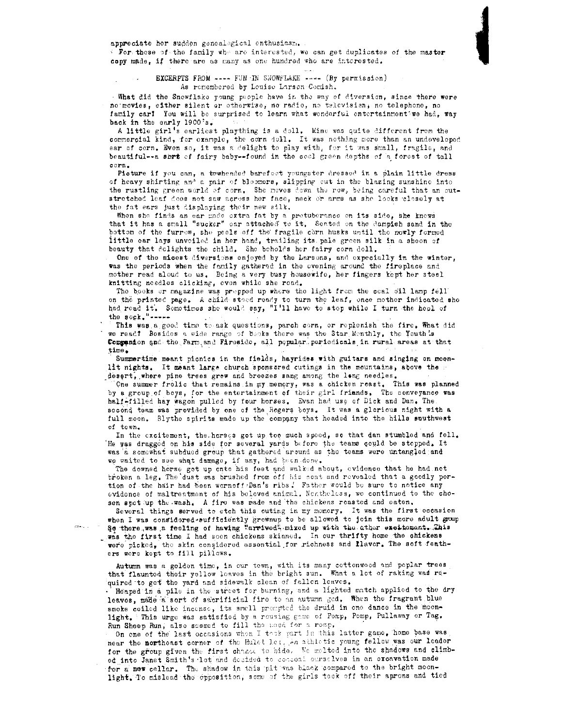appreciate her sudden genealogical enthusiasm.

Evrithese of the family whe are interested, we can get duplicates of the master copy made, if there are as many as one hundred who are interested.

EXCERPTS FROM ---- FUN IN SNOWFLAKE ---- (By permission) As remembered by Louise Larson Comish.

. What did the Snowflake young people have in the way of diversion, since there were no movies, either silent or otherwise, no radio, no television, no telephone, no family car? You will be surprised to learn what wonderful entertainment we had, way back in the early 1900's.

A little girl's earliest plaything is a doll. Mine was quite different from the commercial kind, for example, the corn doll. It was nothing more than an undoveloped ear of corn. Even so, it was a delight to play with, for it was small, fragils, and beautiful--a sbrt of fairy baby--found in the cool green depths of a forest of tall corn.

Picture if you can, a towheaded barefoot youngster dressed in a plain little dress of heavy shirting and a pair of bloomers, slipping out in the blazing sunshine into the rustling green world of corn. She meves down the row, being careful that an outstretched leaf does not saw across her face, neck or arms as she looks closely at the fat ears just displaying their new silk.

When she finds an ear made extra fat by a pretuberance on its side, she knows that it has a small "sucker" car attached to it. Sented on the dampish sand in the bottom of the furrow, she pecis off the fragile corn husks until the newly formed little ear lays unveiled in her hand, trailing its pale green silk in a sheen of beauty that delights the child. She beholds her fairy corn doll.

One of the micest diversions enjoyed by the Larsons, and expecially in the winter, was the periods when the family gathered in the evening around the fireplace and mother read aloud to us. Being a very busy housewife, her fingers kept her steel knitting needles clicking, even while she read.

The books or magazine was propped up where the light from the coal cil lamp fell on the printed page. A child stood ready to turn the leaf, once mother indicated she had read it. Sometimes she would say, "I'll have to step while I turn the heal of the  ${\tt sock_*}$  -----

This was a good time to ask questions, parch corn, or replenish the fire. What did we read? Besides a wide range of books there was the Star Menthly, the Youth's Companion and the Farm and Fireside, all pepular periodicals in rural areas at that time.

Summertime meant picnics in the fields, hayrides with guitars and singing on moonlit nights. It meant large church sponsored cutings in the mountains, above the desert, where pine trees grew and breezes sang among the leng needles.

One summer frolic that remains in my memory, was a chicken reast. This was planned by a group of boys, for the entertainment of their girl friands. The conveyance was half-filled hay wagon pulled by four horses. Evan had use of Dick and Dan. The second team was provided by one of the Rogers boys. It was a glorious night with a full moon. Blythe spirits made up the company that headed into the hills suuthwest of town.

In the excitement, the horses got up too much speed, so that dan stumbled and fell. He was dragged on his side for several yards before the teams could be stopped. It was a somewhat subdued group that gathered around as the teams were untangled and we waited to see what damage, if any, had been done.

The downed herse get up ento his feet and walked about, evidence that he had net broken a leg. The dust was brushed from off his cont and revealed that a goodly portion of the hair had been wornoff Dan's ribs. Father would be sure to notice any evidence of maltreatment of his beloved animal. Nontheless, we continued to the chosen spot up the wash. A fire was made and the chickens roasted and eaten.

Several things served to etch this outing in my memory. It was the first occasion when I was considered sufficiently grownup to be allowed to join this more adult group Se there was a feeling of having "arrived" mixed up with the ather excitement. This was the first time I had seen chickens skinned. In our thrifty home the chickens were picked, the skin considered essential for richness and llaver. The soft feathers were kept to fill pillows.

Autumn was a golden time, in our tewn, with its many cottonwood and poplar trees that flaunted their yellow leaves in the bright sun. What a let of raking was required to get the yard and sidewalk clean of fallen leaves.

Heaped in a pile in the street for burning, and a lighted match applied to the dry leaves, made a sort of sacrificial fire to an autumn god. When the fragrant blue smoke coiled like incense, its small prempted the druid in one dance in the moonlight. This urge was satisfied by a rousing game of Pomp, Pomp, Pullaway or Tag. Run Shoep Run, also seemed to fill the meed for a romp.

On one of the last occasions when I task part in this latter game, home base was near the northeast corner of the Hulet let, An athletic young fellow was our leader for the group given the first chance to hide. We melted into the shadows and climbed into Janet Smith's lot and decided to conceal carselves in an excavation made for a new cellar. The shadow in this pit was black compared to the bright moonlight. To mislead the opposition, some of the girls took off their aprons and tied

 $\frac{1}{\sqrt{2\pi}\left(\frac{1}{2}\right)^{2}}\left(1-\frac{1}{2}\right)^{2}$  ,  $\frac{1}{2}$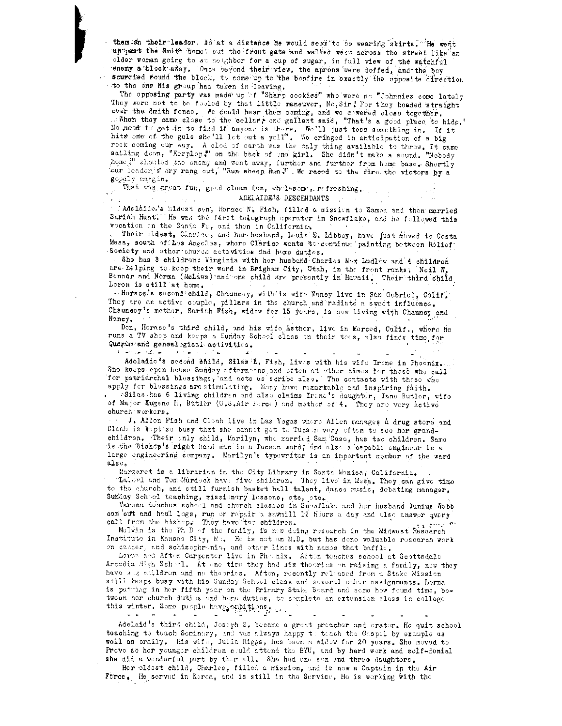themich their leader, so at a distance he would seem to be wearing skirts. He went suppeast the Smith home; out the front gate and walked west across the street like an older woman going to an neighbor for a cup of sugar, in full view of the watchful enemy a block away. Once beyond their view, the aprons were doffed, and the boy scurried round the block, to come up to the bonfire in exactly the opposite direction to the one his group had taken in leaving.

The opposing party was made up if "Sharp cookies" who were no "Johnnies come lately They were not to be fooled by that little maneuver, No, Sir! For they headed straight over the Smith fence. We could hear them coming, and we cowered close together. No need to get in to find if anyone is there. We'll just toss something in. If it hits one of the gals she'll let out a yell". We cringed in anticipation of a big rock coming our way. A clod of earth was the enly thing available to throw. It came sailing down, "Kerplop." on the back of one girl. She didn't make a sound. "Nobody home." shouted the enemy and wont away, further and further from home base. Shortly our leader s cry rang out, "Run sheep Run ". We raced to the fire the victors by a goodly margin.

#### That was great fur, good clean fun, wholesome, refreshing.  $\sqrt{2}$ ADELAIDE'S DESCENDANTS e e con

" Adolaide.'s bidest son, Herace N. Fish, filled a mission to Samoa and then married Sariah Hunt. He was the farst telegraph eperator in Snowflake, and he followed this vocation on the Santo Fe, and then in California.

 $\sigma_{\rm{max}}$ 

Their cliest, Chardee, and her husband, Louis E. Libbey, have just moved to Costa Mesa, south of Los Angeles, where Clarice wants to continue painting between Rolief Society and other church activities and heme duties.

She has 3 children: Virginia with her husband Charles Max Ludlew and 4 children are helping to koep their ward in Brigham City, Utah, in the frent ranks, Neil W. Benner and Norma (McLaws) and one child are presently in Hawaii, Their third child Loren is still at home.

-Borace's second child, Chauncey, with is wife Nancy live in San Gabriel, Calif. They are an active couple, pillars in the church and radiate a sweet influence. Chauncey's methor, Sariah Fish, widow for 15 years, is now living with Chauncy and Nancy.

Don, Horace's third child, and his wife Esther, live in Merced, Calif., where He runs a TV shop and keeps a Sunday School class on their tees, also finds time for Quorum and geneal spical activities.

 $\sim$ 

ال است الأمريكات السياحية التي السياح الأمريكية المورد الأسراء ال ا تقار

Adolaide's second Shild, Silas L. Fish, lives with his wife Irene in Phoenix. She keeps epen house Sunday afternahns and eften at other times for these who call for patriarchal blessings, and acts as scribe also. The contacts with those who apply for blossings are stimulating. Many have romarkable and inspiring faith. Silas has 6 living children and also claims Irone's daughter, Jane Butler, wife of Major Dugene H. Butler (U.S.Air Force) and mother of 4. They are very active church workers.

... J. Allen Fish and Cloah live in Las Vegas where Allen manages a drug store and Cleah is kept so busy that she cannet get to Tucs n very eften to see her grandchildren. Their only child, Marilyn, who married Sam Case, has two children. Same is the Bishop's right hand man in a Tucson ward; and also a capable engineer in a large engineering company. Marilyn's typewriter is an important momber of the ward also.

Margaret is a librarian in the City Library in Santa Monica, California. Lalovi and Tom-Murdeck have five children. They live in Mesa. They can give time to the church, and still furnish basket ball talent, dance music, debating manager, Sunday Scheel teaching, missionary lessens, etc, etc.

Varena teaches school and church clusses in Snowflake and her husband Junius Webb can cut and haul logs, run or repair a sawmill 12 hours a day and also answer query call from the bishop. They have two childron. مريديني

Molvin is the Ph D of the family, is now deing research in the Midwest Research Institute in Kansas City, Mp. He is not an M.D. but has done valuable research work on cancer, and schizophronin, and other lines with names that baffle.

Lorma and Afton Carpenter live in Phoenix. Aften teaches school at Scottsdale Arcadia High Scheel. At one time they had six theories on raising a family, new they have sakehildren and no theories. Aften, recently released from a Stake Mission still keeps busy with his Sunday School class and several other assignments. Lorna is putting in her fifth year on the Primary Stake Board and some how found time, between her church duties and heme duties, to cemplete an extension class in college this winter. Some poople have emploined by

Adelaid's third child, Joseph S. became a great preacher and erator. He quit school toaching to teach Seminary, and was always happy to teach the Gaspel by example as well as orally. His wife, Julia Riggs, has been a widow for 20 years. She moved to Prove so her younger children could attend the BYU, and by hard work and solf-denial she did a wenderful part by them all. She had one son and three daughters.

Her pldest child, Charles, filled a mission, and is now a Captain in the Air Förce. He served in Kerea, and is still in the Service. He is werking with the